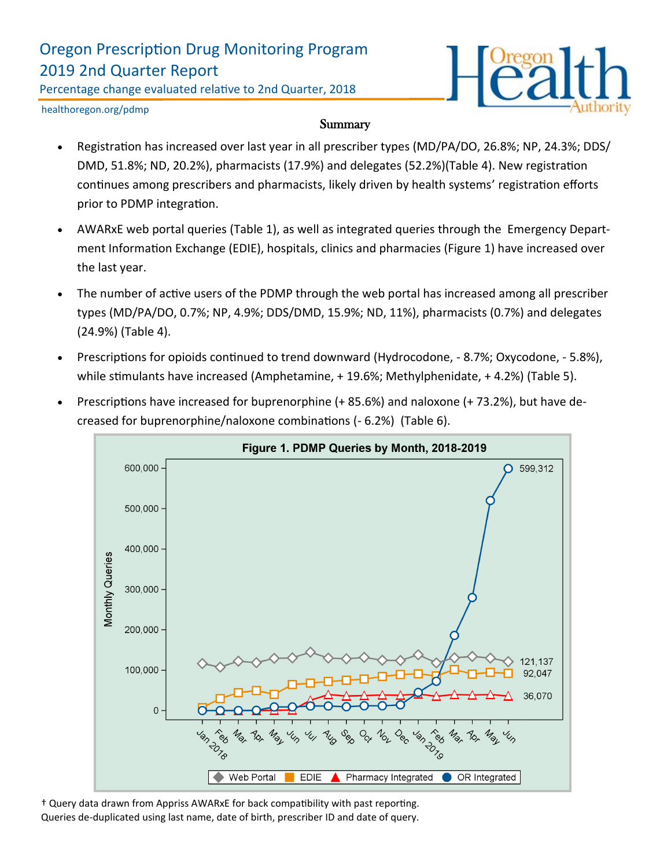### Oregon Prescription Drug Monitoring Program 2019 2nd Quarter Report

Percentage change evaluated relative to 2nd Quarter, 2018



healthoregon.org/pdmp

#### Summary

- Registration has increased over last year in all prescriber types (MD/PA/DO, 26.8%; NP, 24.3%; DDS/ DMD, 51.8%; ND, 20.2%), pharmacists (17.9%) and delegates (52.2%)(Table 4). New registration continues among prescribers and pharmacists, likely driven by health systems' registration efforts prior to PDMP integration.
- AWARxE web portal queries (Table 1), as well as integrated queries through the Emergency Department Information Exchange (EDIE), hospitals, clinics and pharmacies (Figure 1) have increased over the last year.
- The number of active users of the PDMP through the web portal has increased among all prescriber types (MD/PA/DO, 0.7%; NP, 4.9%; DDS/DMD, 15.9%; ND, 11%), pharmacists (0.7%) and delegates (24.9%) (Table 4).
- Prescriptions for opioids continued to trend downward (Hydrocodone, 8.7%; Oxycodone, 5.8%), while stimulants have increased (Amphetamine, + 19.6%; Methylphenidate, + 4.2%) (Table 5).
- Prescriptions have increased for buprenorphine (+ 85.6%) and naloxone (+ 73.2%), but have decreased for buprenorphine/naloxone combinations (- 6.2%) (Table 6).



† Query data drawn from Appriss AWARxE for back compatibility with past reporting. Queries de-duplicated using last name, date of birth, prescriber ID and date of query.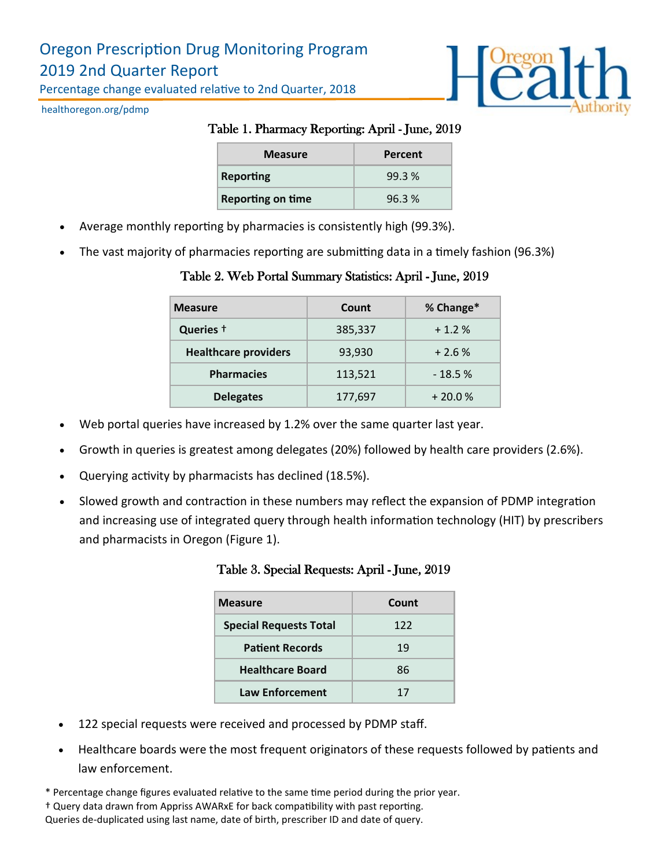# Oregon Prescription Drug Monitoring Program 2019 2nd Quarter Report

Percentage change evaluated relative to 2nd Quarter, 2018



healthoregon.org/pdmp

### Table 1. Pharmacy Reporting: April - June, 2019

| <b>Measure</b>           | Percent |
|--------------------------|---------|
| Reporting                | 99.3%   |
| <b>Reporting on time</b> | 96.3%   |

- Average monthly reporting by pharmacies is consistently high (99.3%).
- The vast majority of pharmacies reporting are submitting data in a timely fashion (96.3%)

#### Table 2. Web Portal Summary Statistics: April - June, 2019

| <b>Measure</b>              | Count   | % Change* |
|-----------------------------|---------|-----------|
| Queries +                   | 385,337 | $+1.2%$   |
| <b>Healthcare providers</b> | 93,930  | $+2.6%$   |
| <b>Pharmacies</b>           | 113,521 | $-18.5%$  |
| <b>Delegates</b>            | 177,697 | $+20.0%$  |

- Web portal queries have increased by 1.2% over the same quarter last year.
- Growth in queries is greatest among delegates (20%) followed by health care providers (2.6%).
- Querying activity by pharmacists has declined (18.5%).
- Slowed growth and contraction in these numbers may reflect the expansion of PDMP integration and increasing use of integrated query through health information technology (HIT) by prescribers and pharmacists in Oregon (Figure 1).

| <b>Measure</b>                | Count |
|-------------------------------|-------|
| <b>Special Requests Total</b> | 122   |
| <b>Patient Records</b>        | 19    |
| <b>Healthcare Board</b>       | 86    |
| <b>Law Enforcement</b>        | 17    |

- 122 special requests were received and processed by PDMP staff.
- Healthcare boards were the most frequent originators of these requests followed by patients and law enforcement.

\* Percentage change figures evaluated relative to the same time period during the prior year.

† Query data drawn from Appriss AWARxE for back compatibility with past reporting.

Queries de-duplicated using last name, date of birth, prescriber ID and date of query.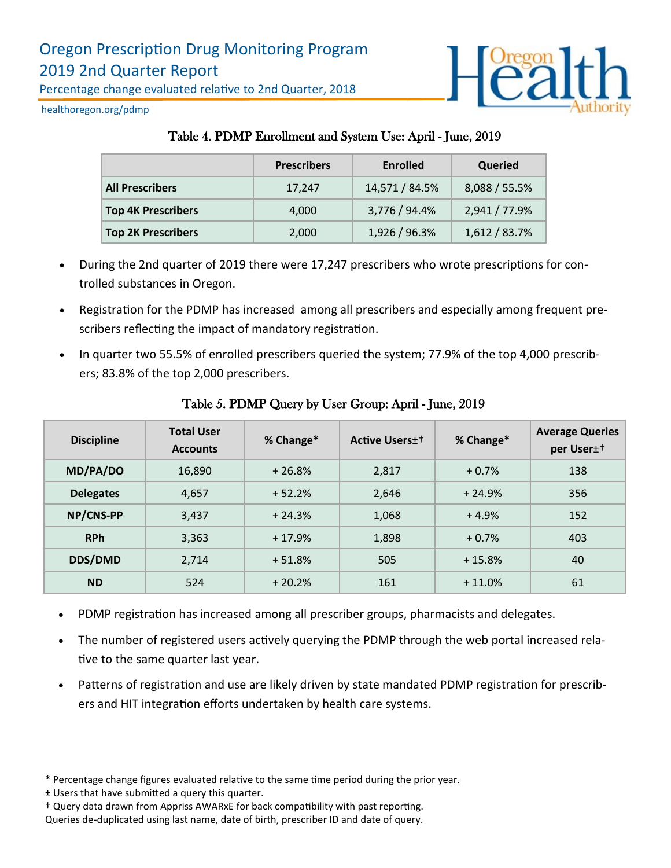

healthoregon.org/pdmp

### Table 4. PDMP Enrollment and System Use: April - June, 2019

|                           | <b>Prescribers</b> | <b>Enrolled</b> | Queried       |
|---------------------------|--------------------|-----------------|---------------|
| <b>All Prescribers</b>    | 17,247             | 14,571 / 84.5%  | 8,088 / 55.5% |
| <b>Top 4K Prescribers</b> | 4,000              | 3,776 / 94.4%   | 2,941 / 77.9% |
| <b>Top 2K Prescribers</b> | 2,000              | 1,926 / 96.3%   | 1,612 / 83.7% |

- During the 2nd quarter of 2019 there were 17,247 prescribers who wrote prescriptions for controlled substances in Oregon.
- Registration for the PDMP has increased among all prescribers and especially among frequent prescribers reflecting the impact of mandatory registration.
- In quarter two 55.5% of enrolled prescribers queried the system; 77.9% of the top 4,000 prescribers; 83.8% of the top 2,000 prescribers.

| <b>Discipline</b> | <b>Total User</b><br><b>Accounts</b> | % Change* | <b>Active Users</b> <sup>++</sup> | % Change* | <b>Average Queries</b><br>per User <sup>++</sup> |
|-------------------|--------------------------------------|-----------|-----------------------------------|-----------|--------------------------------------------------|
| MD/PA/DO          | 16,890                               | $+26.8%$  | 2,817                             | $+0.7%$   | 138                                              |
| <b>Delegates</b>  | 4,657                                | $+52.2%$  | 2,646                             | $+24.9%$  | 356                                              |
| NP/CNS-PP         | 3,437                                | $+24.3%$  | 1,068                             | $+4.9%$   | 152                                              |
| <b>RPh</b>        | 3,363                                | $+17.9%$  | 1,898                             | $+0.7%$   | 403                                              |
| <b>DDS/DMD</b>    | 2,714                                | $+51.8%$  | 505                               | $+15.8%$  | 40                                               |
| <b>ND</b>         | 524                                  | $+20.2%$  | 161                               | $+11.0%$  | 61                                               |

#### Table 5. PDMP Query by User Group: April - June, 2019

- PDMP registration has increased among all prescriber groups, pharmacists and delegates.
- The number of registered users actively querying the PDMP through the web portal increased relative to the same quarter last year.
- Patterns of registration and use are likely driven by state mandated PDMP registration for prescribers and HIT integration efforts undertaken by health care systems.

<sup>\*</sup> Percentage change figures evaluated relative to the same time period during the prior year.

<sup>±</sup> Users that have submitted a query this quarter.

<sup>†</sup> Query data drawn from Appriss AWARxE for back compatibility with past reporting.

Queries de-duplicated using last name, date of birth, prescriber ID and date of query.